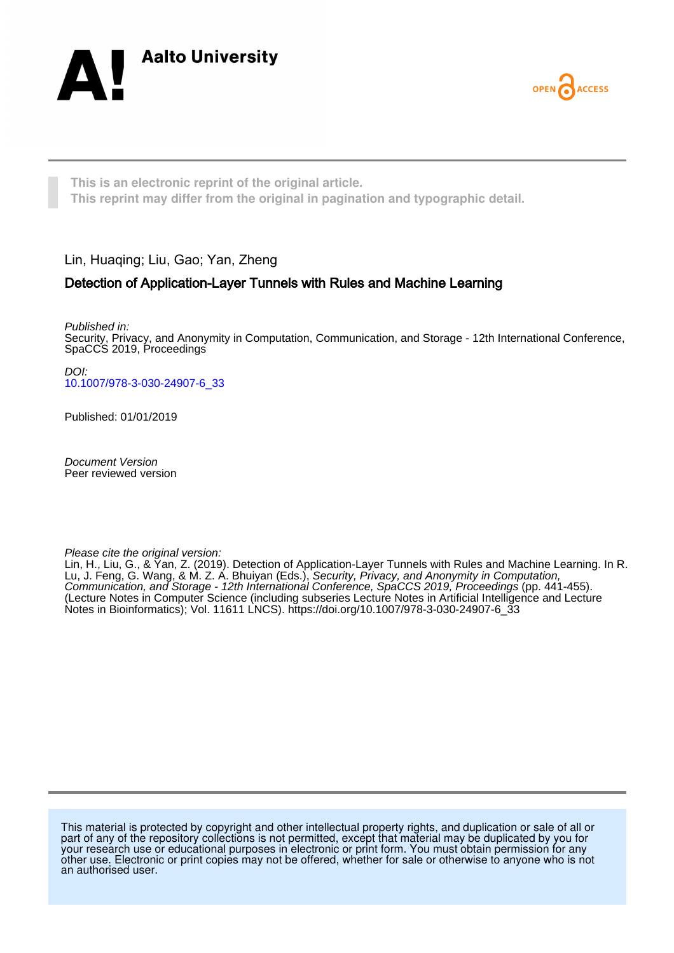



**This is an electronic reprint of the original article. This reprint may differ from the original in pagination and typographic detail.**

Lin, Huaqing; Liu, Gao; Yan, Zheng

# Detection of Application-Layer Tunnels with Rules and Machine Learning

Published in: Security, Privacy, and Anonymity in Computation, Communication, and Storage - 12th International Conference, SpaCCS 2019, Proceedings

DOI: [10.1007/978-3-030-24907-6\\_33](https://doi.org/10.1007/978-3-030-24907-6_33)

Published: 01/01/2019

Document Version Peer reviewed version

Please cite the original version:

Lin, H., Liu, G., & Yan, Z. (2019). Detection of Application-Layer Tunnels with Rules and Machine Learning. In R. Lu, J. Feng, G. Wang, & M. Z. A. Bhuiyan (Eds.), Security, Privacy, and Anonymity in Computation, Communication, and Storage - 12th International Conference, SpaCCS 2019, Proceedings (pp. 441-455). (Lecture Notes in Computer Science (including subseries Lecture Notes in Artificial Intelligence and Lecture Notes in Bioinformatics); Vol. 11611 LNCS). [https://doi.org/10.1007/978-3-030-24907-6\\_33](https://doi.org/10.1007/978-3-030-24907-6_33)

This material is protected by copyright and other intellectual property rights, and duplication or sale of all or part of any of the repository collections is not permitted, except that material may be duplicated by you for your research use or educational purposes in electronic or print form. You must obtain permission for any other use. Electronic or print copies may not be offered, whether for sale or otherwise to anyone who is not an authorised user.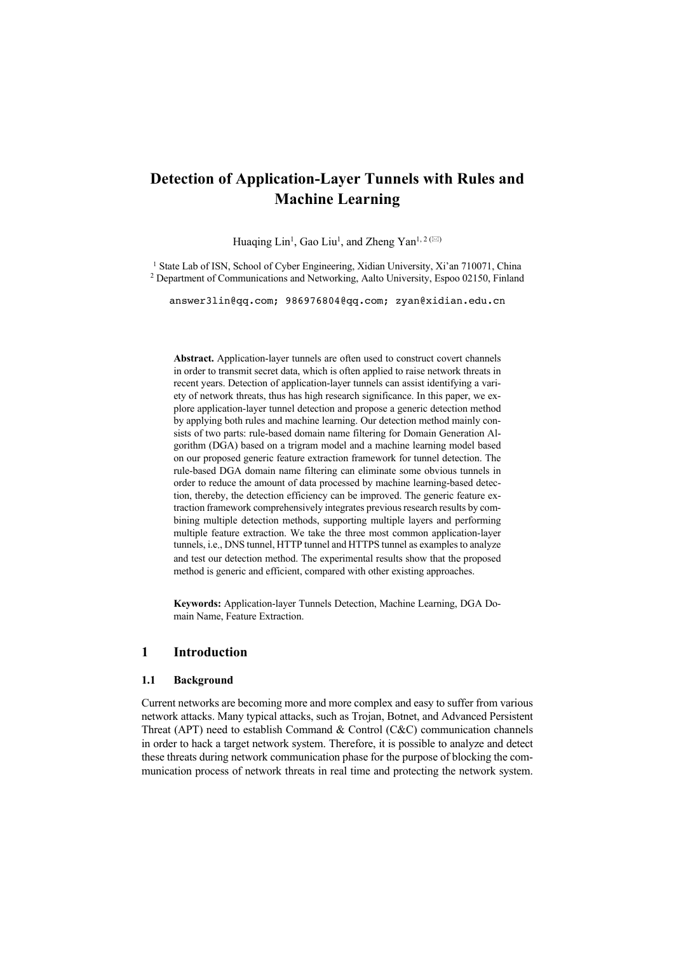# **Detection of Application-Layer Tunnels with Rules and Machine Learning**

Huaqing Lin<sup>1</sup>, Gao Liu<sup>1</sup>, and Zheng Yan<sup>1, 2 ( $\boxtimes$ )</sup>

<sup>1</sup> State Lab of ISN, School of Cyber Engineering, Xidian University, Xi'an 710071, China <sup>2</sup> Department of Communications and Networking, Aalto University, Espoo 02150, Finland

answer3lin@qq.com; 986976804@qq.com; zyan@xidian.edu.cn

**Abstract.** Application-layer tunnels are often used to construct covert channels in order to transmit secret data, which is often applied to raise network threats in recent years. Detection of application-layer tunnels can assist identifying a variety of network threats, thus has high research significance. In this paper, we explore application-layer tunnel detection and propose a generic detection method by applying both rules and machine learning. Our detection method mainly consists of two parts: rule-based domain name filtering for Domain Generation Algorithm (DGA) based on a trigram model and a machine learning model based on our proposed generic feature extraction framework for tunnel detection. The rule-based DGA domain name filtering can eliminate some obvious tunnels in order to reduce the amount of data processed by machine learning-based detection, thereby, the detection efficiency can be improved. The generic feature extraction framework comprehensively integrates previous research results by combining multiple detection methods, supporting multiple layers and performing multiple feature extraction. We take the three most common application-layer tunnels, i.e., DNS tunnel, HTTP tunnel and HTTPS tunnel as examples to analyze and test our detection method. The experimental results show that the proposed method is generic and efficient, compared with other existing approaches.

**Keywords:** Application-layer Tunnels Detection, Machine Learning, DGA Domain Name, Feature Extraction.

# **1 Introduction**

## **1.1 Background**

Current networks are becoming more and more complex and easy to suffer from various network attacks. Many typical attacks, such as Trojan, Botnet, and Advanced Persistent Threat (APT) need to establish Command & Control (C&C) communication channels in order to hack a target network system. Therefore, it is possible to analyze and detect these threats during network communication phase for the purpose of blocking the communication process of network threats in real time and protecting the network system.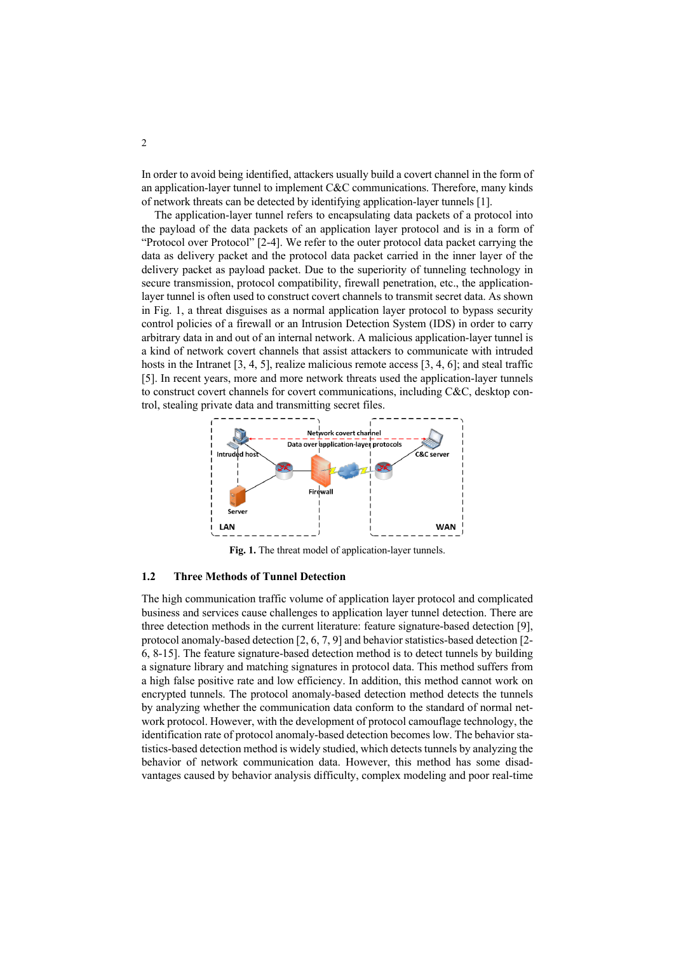In order to avoid being identified, attackers usually build a covert channel in the form of an application-layer tunnel to implement C&C communications. Therefore, many kinds of network threats can be detected by identifying application-layer tunnels [1].

The application-layer tunnel refers to encapsulating data packets of a protocol into the payload of the data packets of an application layer protocol and is in a form of "Protocol over Protocol" [2-4]. We refer to the outer protocol data packet carrying the data as delivery packet and the protocol data packet carried in the inner layer of the delivery packet as payload packet. Due to the superiority of tunneling technology in secure transmission, protocol compatibility, firewall penetration, etc., the applicationlayer tunnel is often used to construct covert channels to transmit secret data. As shown in Fig. 1, a threat disguises as a normal application layer protocol to bypass security control policies of a firewall or an Intrusion Detection System (IDS) in order to carry arbitrary data in and out of an internal network. A malicious application-layer tunnel is a kind of network covert channels that assist attackers to communicate with intruded hosts in the Intranet [3, 4, 5], realize malicious remote access [3, 4, 6]; and steal traffic [5]. In recent years, more and more network threats used the application-layer tunnels to construct covert channels for covert communications, including C&C, desktop control, stealing private data and transmitting secret files.



**Fig. 1.** The threat model of application-layer tunnels.

# **1.2 Three Methods of Tunnel Detection**

The high communication traffic volume of application layer protocol and complicated business and services cause challenges to application layer tunnel detection. There are three detection methods in the current literature: feature signature-based detection [9], protocol anomaly-based detection [2, 6, 7, 9] and behavior statistics-based detection [2- 6, 8-15]. The feature signature-based detection method is to detect tunnels by building a signature library and matching signatures in protocol data. This method suffers from a high false positive rate and low efficiency. In addition, this method cannot work on encrypted tunnels. The protocol anomaly-based detection method detects the tunnels by analyzing whether the communication data conform to the standard of normal network protocol. However, with the development of protocol camouflage technology, the identification rate of protocol anomaly-based detection becomes low. The behavior statistics-based detection method is widely studied, which detects tunnels by analyzing the behavior of network communication data. However, this method has some disadvantages caused by behavior analysis difficulty, complex modeling and poor real-time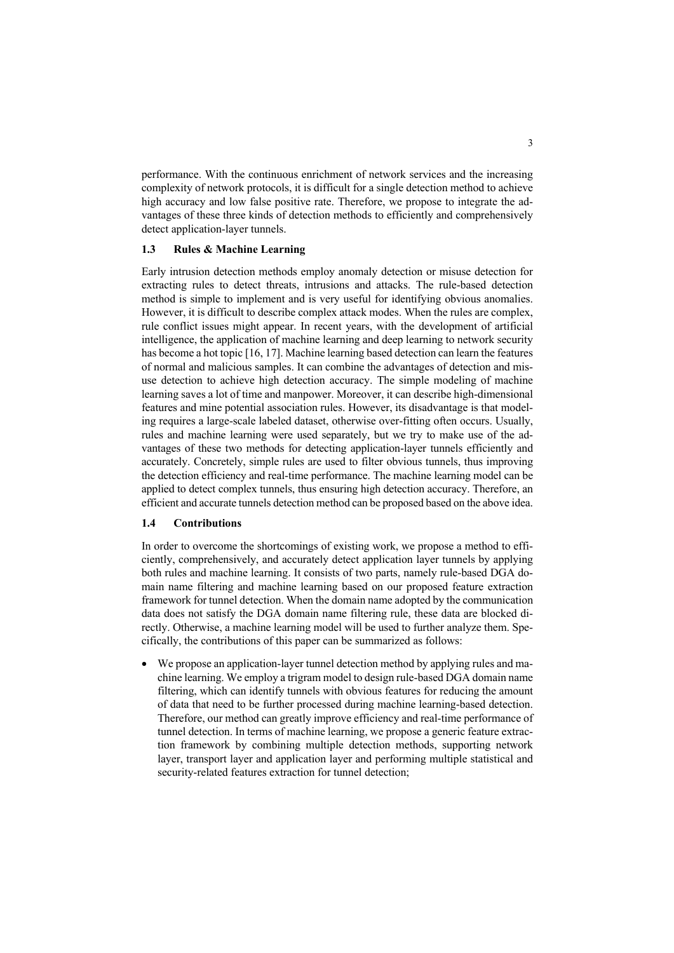performance. With the continuous enrichment of network services and the increasing complexity of network protocols, it is difficult for a single detection method to achieve high accuracy and low false positive rate. Therefore, we propose to integrate the advantages of these three kinds of detection methods to efficiently and comprehensively detect application-layer tunnels.

## **1.3 Rules & Machine Learning**

Early intrusion detection methods employ anomaly detection or misuse detection for extracting rules to detect threats, intrusions and attacks. The rule-based detection method is simple to implement and is very useful for identifying obvious anomalies. However, it is difficult to describe complex attack modes. When the rules are complex, rule conflict issues might appear. In recent years, with the development of artificial intelligence, the application of machine learning and deep learning to network security has become a hot topic [16, 17]. Machine learning based detection can learn the features of normal and malicious samples. It can combine the advantages of detection and misuse detection to achieve high detection accuracy. The simple modeling of machine learning saves a lot of time and manpower. Moreover, it can describe high-dimensional features and mine potential association rules. However, its disadvantage is that modeling requires a large-scale labeled dataset, otherwise over-fitting often occurs. Usually, rules and machine learning were used separately, but we try to make use of the advantages of these two methods for detecting application-layer tunnels efficiently and accurately. Concretely, simple rules are used to filter obvious tunnels, thus improving the detection efficiency and real-time performance. The machine learning model can be applied to detect complex tunnels, thus ensuring high detection accuracy. Therefore, an efficient and accurate tunnels detection method can be proposed based on the above idea.

#### **1.4 Contributions**

In order to overcome the shortcomings of existing work, we propose a method to efficiently, comprehensively, and accurately detect application layer tunnels by applying both rules and machine learning. It consists of two parts, namely rule-based DGA domain name filtering and machine learning based on our proposed feature extraction framework for tunnel detection. When the domain name adopted by the communication data does not satisfy the DGA domain name filtering rule, these data are blocked directly. Otherwise, a machine learning model will be used to further analyze them. Specifically, the contributions of this paper can be summarized as follows:

We propose an application-layer tunnel detection method by applying rules and machine learning. We employ a trigram model to design rule-based DGA domain name filtering, which can identify tunnels with obvious features for reducing the amount of data that need to be further processed during machine learning-based detection. Therefore, our method can greatly improve efficiency and real-time performance of tunnel detection. In terms of machine learning, we propose a generic feature extraction framework by combining multiple detection methods, supporting network layer, transport layer and application layer and performing multiple statistical and security-related features extraction for tunnel detection;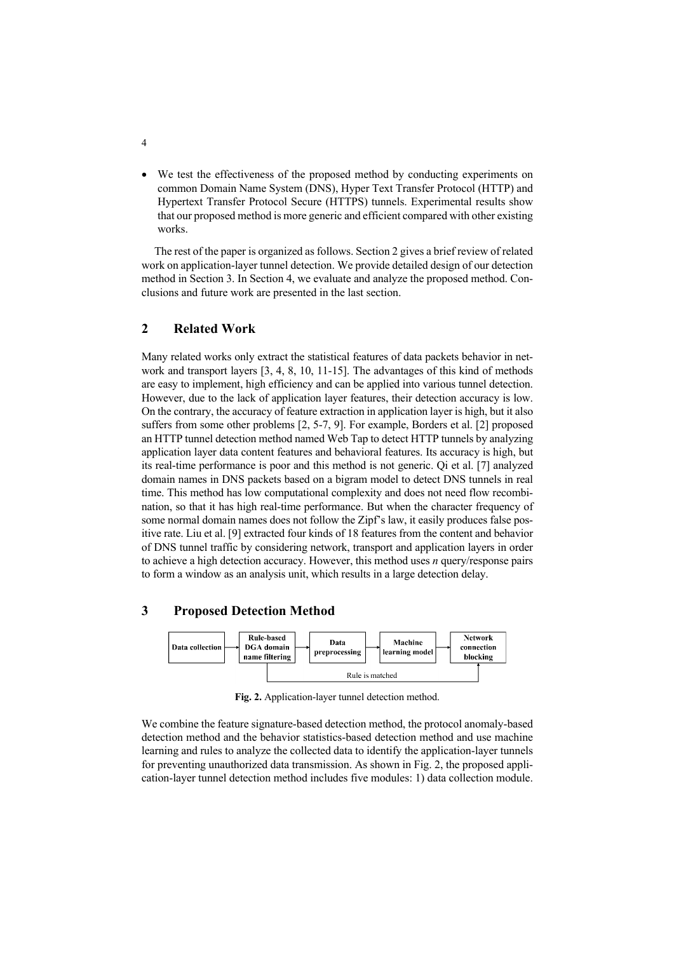We test the effectiveness of the proposed method by conducting experiments on common Domain Name System (DNS), Hyper Text Transfer Protocol (HTTP) and Hypertext Transfer Protocol Secure (HTTPS) tunnels. Experimental results show that our proposed method is more generic and efficient compared with other existing works.

The rest of the paper is organized as follows. Section 2 gives a brief review of related work on application-layer tunnel detection. We provide detailed design of our detection method in Section 3. In Section 4, we evaluate and analyze the proposed method. Conclusions and future work are presented in the last section.

# **2 Related Work**

Many related works only extract the statistical features of data packets behavior in network and transport layers [3, 4, 8, 10, 11-15]. The advantages of this kind of methods are easy to implement, high efficiency and can be applied into various tunnel detection. However, due to the lack of application layer features, their detection accuracy is low. On the contrary, the accuracy of feature extraction in application layer is high, but it also suffers from some other problems [2, 5-7, 9]. For example, Borders et al. [2] proposed an HTTP tunnel detection method named Web Tap to detect HTTP tunnels by analyzing application layer data content features and behavioral features. Its accuracy is high, but its real-time performance is poor and this method is not generic. Qi et al. [7] analyzed domain names in DNS packets based on a bigram model to detect DNS tunnels in real time. This method has low computational complexity and does not need flow recombination, so that it has high real-time performance. But when the character frequency of some normal domain names does not follow the Zipf's law, it easily produces false positive rate. Liu et al. [9] extracted four kinds of 18 features from the content and behavior of DNS tunnel traffic by considering network, transport and application layers in order to achieve a high detection accuracy. However, this method uses *n* query/response pairs to form a window as an analysis unit, which results in a large detection delay.

# **3 Proposed Detection Method**



**Fig. 2.** Application-layer tunnel detection method.

We combine the feature signature-based detection method, the protocol anomaly-based detection method and the behavior statistics-based detection method and use machine learning and rules to analyze the collected data to identify the application-layer tunnels for preventing unauthorized data transmission. As shown in Fig. 2, the proposed application-layer tunnel detection method includes five modules: 1) data collection module.

4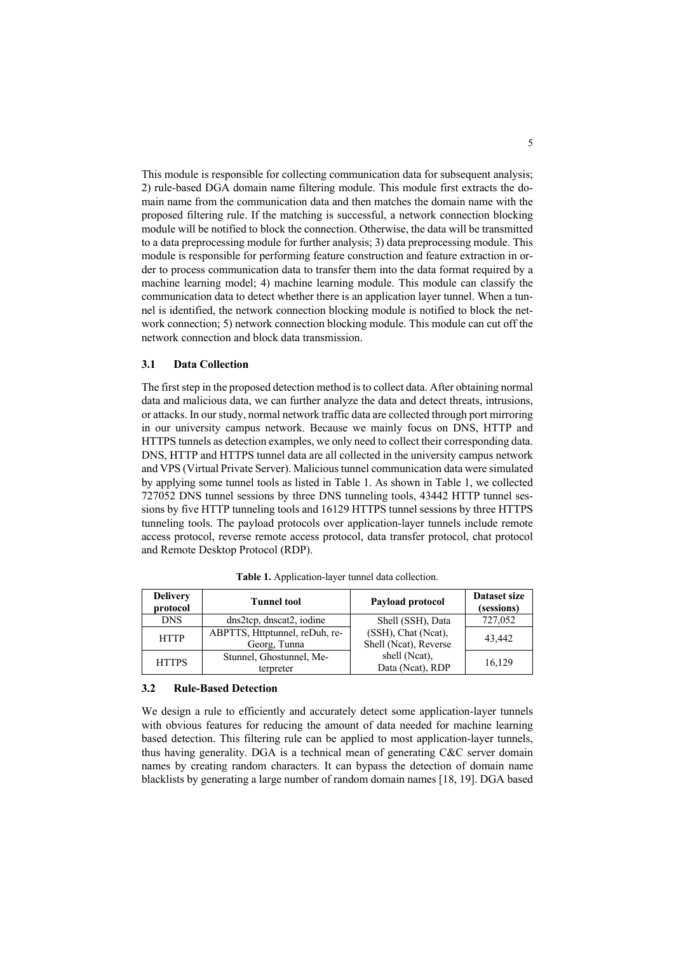This module is responsible for collecting communication data for subsequent analysis; 2) rule-based DGA domain name filtering module. This module first extracts the domain name from the communication data and then matches the domain name with the proposed filtering rule. If the matching is successful, a network connection blocking module will be notified to block the connection. Otherwise, the data will be transmitted to a data preprocessing module for further analysis; 3) data preprocessing module. This module is responsible for performing feature construction and feature extraction in order to process communication data to transfer them into the data format required by a machine learning model; 4) machine learning module. This module can classify the communication data to detect whether there is an application layer tunnel. When a tunnel is identified, the network connection blocking module is notified to block the network connection; 5) network connection blocking module. This module can cut off the network connection and block data transmission.

#### **3.1 Data Collection**

The first step in the proposed detection method is to collect data. After obtaining normal data and malicious data, we can further analyze the data and detect threats, intrusions, or attacks. In our study, normal network traffic data are collected through port mirroring in our university campus network. Because we mainly focus on DNS, HTTP and HTTPS tunnels as detection examples, we only need to collect their corresponding data. DNS, HTTP and HTTPS tunnel data are all collected in the university campus network and VPS (Virtual Private Server). Malicious tunnel communication data were simulated by applying some tunnel tools as listed in Table 1. As shown in Table 1, we collected 727052 DNS tunnel sessions by three DNS tunneling tools, 43442 HTTP tunnel sessions by five HTTP tunneling tools and 16129 HTTPS tunnel sessions by three HTTPS tunneling tools. The payload protocols over application-layer tunnels include remote access protocol, reverse remote access protocol, data transfer protocol, chat protocol and Remote Desktop Protocol (RDP).

| <b>Delivery</b><br>protocol | <b>Tunnel tool</b>                             | Payload protocol                             | Dataset size<br>(sessions) |
|-----------------------------|------------------------------------------------|----------------------------------------------|----------------------------|
| <b>DNS</b>                  | dns2tcp, dnscat2, iodine                       | Shell (SSH), Data                            | 727,052                    |
| <b>HTTP</b>                 | ABPTTS, Httptunnel, reDuh, re-<br>Georg, Tunna | (SSH), Chat (Neat),<br>Shell (Neat), Reverse | 43,442                     |
| <b>HTTPS</b>                | Stunnel, Ghostunnel, Me-<br>terpreter          | shell (Neat),<br>Data (Neat), RDP            | 16,129                     |

**Table 1.** Application-layer tunnel data collection.

#### **3.2 Rule-Based Detection**

We design a rule to efficiently and accurately detect some application-layer tunnels with obvious features for reducing the amount of data needed for machine learning based detection. This filtering rule can be applied to most application-layer tunnels, thus having generality. DGA is a technical mean of generating C&C server domain names by creating random characters. It can bypass the detection of domain name blacklists by generating a large number of random domain names [18, 19]. DGA based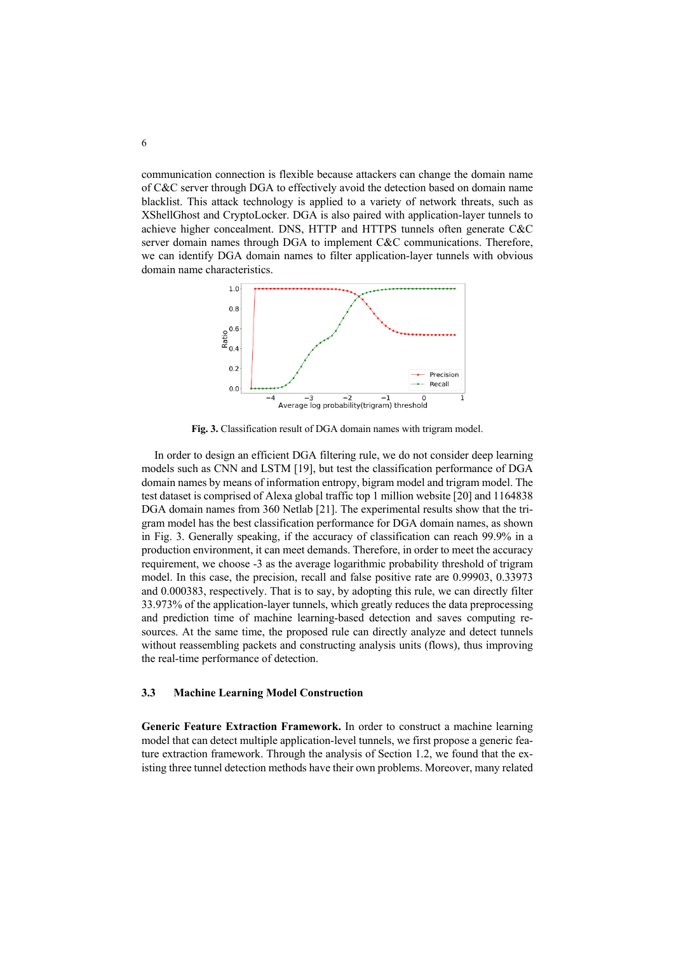communication connection is flexible because attackers can change the domain name of C&C server through DGA to effectively avoid the detection based on domain name blacklist. This attack technology is applied to a variety of network threats, such as XShellGhost and CryptoLocker. DGA is also paired with application-layer tunnels to achieve higher concealment. DNS, HTTP and HTTPS tunnels often generate C&C server domain names through DGA to implement C&C communications. Therefore, we can identify DGA domain names to filter application-layer tunnels with obvious domain name characteristics.



**Fig. 3.** Classification result of DGA domain names with trigram model.

In order to design an efficient DGA filtering rule, we do not consider deep learning models such as CNN and LSTM [19], but test the classification performance of DGA domain names by means of information entropy, bigram model and trigram model. The test dataset is comprised of Alexa global traffic top 1 million website [20] and 1164838 DGA domain names from 360 Netlab [21]. The experimental results show that the trigram model has the best classification performance for DGA domain names, as shown in Fig. 3. Generally speaking, if the accuracy of classification can reach 99.9% in a production environment, it can meet demands. Therefore, in order to meet the accuracy requirement, we choose -3 as the average logarithmic probability threshold of trigram model. In this case, the precision, recall and false positive rate are 0.99903, 0.33973 and 0.000383, respectively. That is to say, by adopting this rule, we can directly filter 33.973% of the application-layer tunnels, which greatly reduces the data preprocessing and prediction time of machine learning-based detection and saves computing resources. At the same time, the proposed rule can directly analyze and detect tunnels without reassembling packets and constructing analysis units (flows), thus improving the real-time performance of detection.

### **3.3 Machine Learning Model Construction**

**Generic Feature Extraction Framework.** In order to construct a machine learning model that can detect multiple application-level tunnels, we first propose a generic feature extraction framework. Through the analysis of Section 1.2, we found that the existing three tunnel detection methods have their own problems. Moreover, many related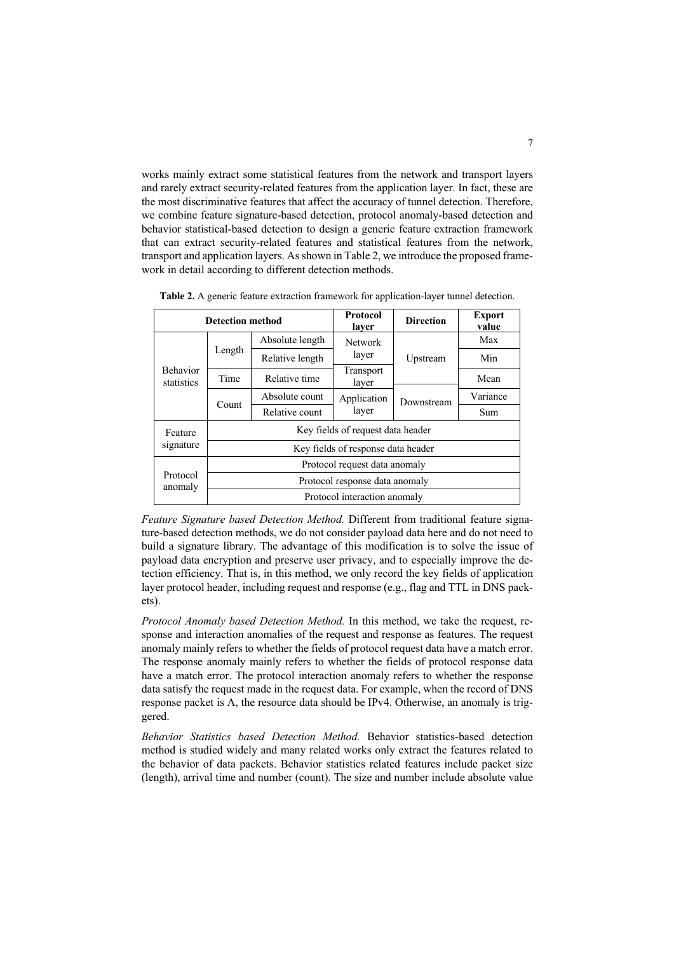works mainly extract some statistical features from the network and transport layers and rarely extract security-related features from the application layer. In fact, these are the most discriminative features that affect the accuracy of tunnel detection. Therefore, we combine feature signature-based detection, protocol anomaly-based detection and behavior statistical-based detection to design a generic feature extraction framework that can extract security-related features and statistical features from the network, transport and application layers. As shown in Table 2, we introduce the proposed framework in detail according to different detection methods.

| <b>Detection method</b>       |                                    |                 | <b>Protocol</b><br>laver | <b>Direction</b> | <b>Export</b><br>value |  |  |
|-------------------------------|------------------------------------|-----------------|--------------------------|------------------|------------------------|--|--|
|                               |                                    | Absolute length | <b>Network</b>           |                  | Max                    |  |  |
|                               | Length                             | Relative length | layer                    | Upstream         | Min                    |  |  |
| <b>Behavior</b><br>statistics | Time                               | Relative time   | Transport<br>layer       |                  | Mean                   |  |  |
|                               |                                    | Absolute count  | Application              | Downstream       | Variance               |  |  |
|                               | Count                              | Relative count  | layer                    |                  | <b>Sum</b>             |  |  |
| Feature                       | Key fields of request data header  |                 |                          |                  |                        |  |  |
| signature                     | Key fields of response data header |                 |                          |                  |                        |  |  |
|                               | Protocol request data anomaly      |                 |                          |                  |                        |  |  |
| Protocol<br>anomaly           | Protocol response data anomaly     |                 |                          |                  |                        |  |  |
|                               | Protocol interaction anomaly       |                 |                          |                  |                        |  |  |

**Table 2.** A generic feature extraction framework for application-layer tunnel detection.

*Feature Signature based Detection Method.* Different from traditional feature signature-based detection methods, we do not consider payload data here and do not need to build a signature library. The advantage of this modification is to solve the issue of payload data encryption and preserve user privacy, and to especially improve the detection efficiency. That is, in this method, we only record the key fields of application layer protocol header, including request and response (e.g., flag and TTL in DNS packets).

*Protocol Anomaly based Detection Method.* In this method, we take the request, response and interaction anomalies of the request and response as features. The request anomaly mainly refers to whether the fields of protocol request data have a match error. The response anomaly mainly refers to whether the fields of protocol response data have a match error. The protocol interaction anomaly refers to whether the response data satisfy the request made in the request data. For example, when the record of DNS response packet is A, the resource data should be IPv4. Otherwise, an anomaly is triggered.

*Behavior Statistics based Detection Method.* Behavior statistics-based detection method is studied widely and many related works only extract the features related to the behavior of data packets. Behavior statistics related features include packet size (length), arrival time and number (count). The size and number include absolute value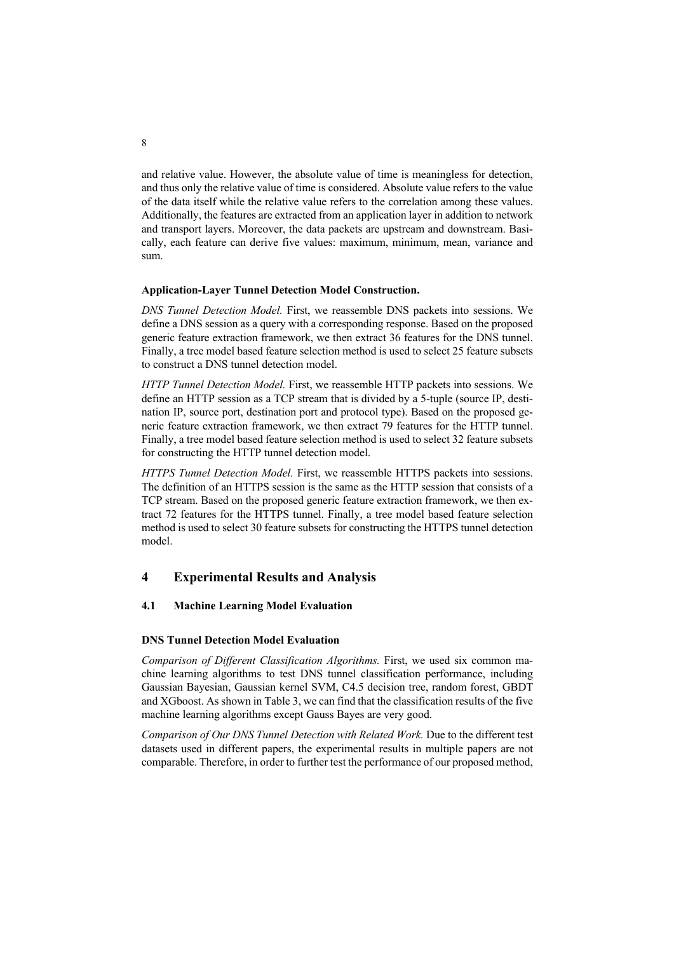and relative value. However, the absolute value of time is meaningless for detection, and thus only the relative value of time is considered. Absolute value refers to the value of the data itself while the relative value refers to the correlation among these values. Additionally, the features are extracted from an application layer in addition to network and transport layers. Moreover, the data packets are upstream and downstream. Basically, each feature can derive five values: maximum, minimum, mean, variance and sum.

### **Application-Layer Tunnel Detection Model Construction.**

*DNS Tunnel Detection Model.* First, we reassemble DNS packets into sessions. We define a DNS session as a query with a corresponding response. Based on the proposed generic feature extraction framework, we then extract 36 features for the DNS tunnel. Finally, a tree model based feature selection method is used to select 25 feature subsets to construct a DNS tunnel detection model.

*HTTP Tunnel Detection Model.* First, we reassemble HTTP packets into sessions. We define an HTTP session as a TCP stream that is divided by a 5-tuple (source IP, destination IP, source port, destination port and protocol type). Based on the proposed generic feature extraction framework, we then extract 79 features for the HTTP tunnel. Finally, a tree model based feature selection method is used to select 32 feature subsets for constructing the HTTP tunnel detection model.

*HTTPS Tunnel Detection Model.* First, we reassemble HTTPS packets into sessions. The definition of an HTTPS session is the same as the HTTP session that consists of a TCP stream. Based on the proposed generic feature extraction framework, we then extract 72 features for the HTTPS tunnel. Finally, a tree model based feature selection method is used to select 30 feature subsets for constructing the HTTPS tunnel detection model.

## **4 Experimental Results and Analysis**

## **4.1 Machine Learning Model Evaluation**

#### **DNS Tunnel Detection Model Evaluation**

*Comparison of Different Classification Algorithms.* First, we used six common machine learning algorithms to test DNS tunnel classification performance, including Gaussian Bayesian, Gaussian kernel SVM, C4.5 decision tree, random forest, GBDT and XGboost. As shown in Table 3, we can find that the classification results of the five machine learning algorithms except Gauss Bayes are very good.

*Comparison of Our DNS Tunnel Detection with Related Work.* Due to the different test datasets used in different papers, the experimental results in multiple papers are not comparable. Therefore, in order to further test the performance of our proposed method,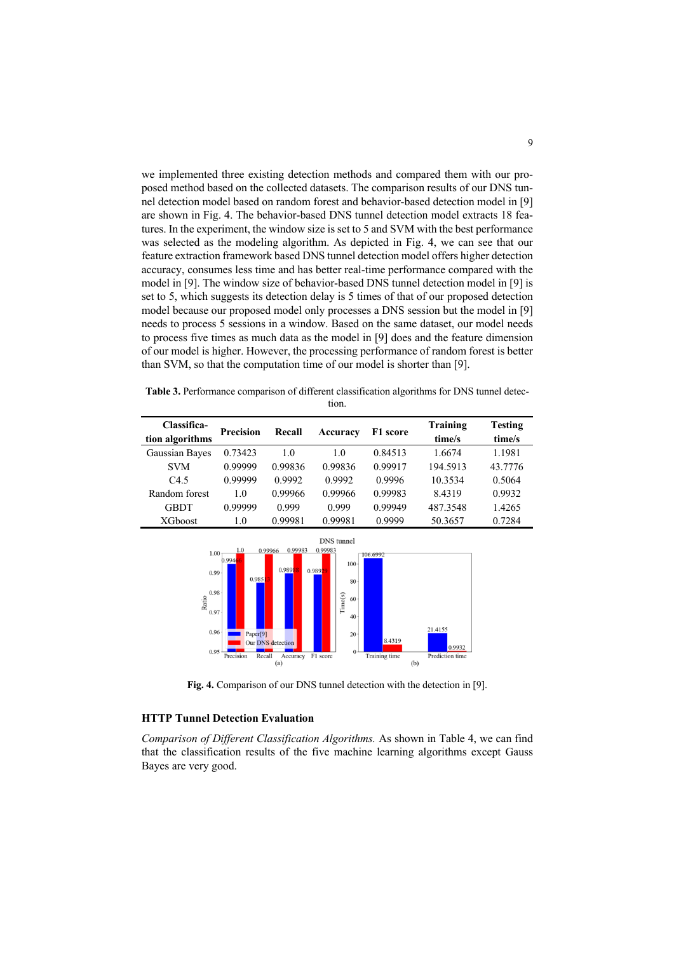we implemented three existing detection methods and compared them with our proposed method based on the collected datasets. The comparison results of our DNS tunnel detection model based on random forest and behavior-based detection model in [9] are shown in Fig. 4. The behavior-based DNS tunnel detection model extracts 18 features. In the experiment, the window size is set to 5 and SVM with the best performance was selected as the modeling algorithm. As depicted in Fig. 4, we can see that our feature extraction framework based DNS tunnel detection model offers higher detection accuracy, consumes less time and has better real-time performance compared with the model in [9]. The window size of behavior-based DNS tunnel detection model in [9] is set to 5, which suggests its detection delay is 5 times of that of our proposed detection model because our proposed model only processes a DNS session but the model in [9] needs to process 5 sessions in a window. Based on the same dataset, our model needs to process five times as much data as the model in [9] does and the feature dimension of our model is higher. However, the processing performance of random forest is better than SVM, so that the computation time of our model is shorter than [9].

**Table 3.** Performance comparison of different classification algorithms for DNS tunnel detection.

| Classifica-<br>tion algorithms | <b>Precision</b> | Recall  | Accuracy | F1 score | <b>Training</b><br>time/s | <b>Testing</b><br>time/s |
|--------------------------------|------------------|---------|----------|----------|---------------------------|--------------------------|
| Gaussian Bayes                 | 0.73423          | 1.0     | 1.0      | 0.84513  | 1.6674                    | 1.1981                   |
| <b>SVM</b>                     | 0.99999          | 0.99836 | 0.99836  | 0.99917  | 194.5913                  | 43.7776                  |
| C4.5                           | 0.99999          | 0.9992  | 0.9992   | 0.9996   | 10.3534                   | 0.5064                   |
| Random forest                  | 1.0              | 0.99966 | 0.99966  | 0.99983  | 8.4319                    | 0.9932                   |
| <b>GBDT</b>                    | 0.99999          | 0.999   | 0.999    | 0.99949  | 487.3548                  | 1.4265                   |
| <b>XGboost</b>                 | 1.0              | 0.99981 | 0.99981  | 0.9999   | 50.3657                   | 0.7284                   |



**Fig. 4.** Comparison of our DNS tunnel detection with the detection in [9].

## **HTTP Tunnel Detection Evaluation**

*Comparison of Different Classification Algorithms.* As shown in Table 4, we can find that the classification results of the five machine learning algorithms except Gauss Bayes are very good.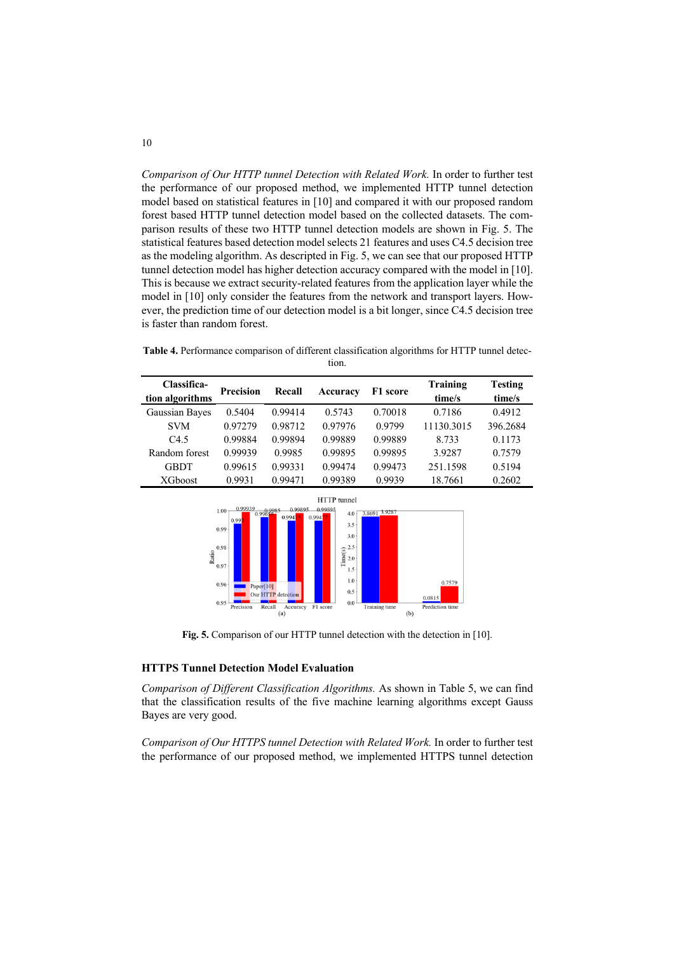*Comparison of Our HTTP tunnel Detection with Related Work.* In order to further test the performance of our proposed method, we implemented HTTP tunnel detection model based on statistical features in [10] and compared it with our proposed random forest based HTTP tunnel detection model based on the collected datasets. The comparison results of these two HTTP tunnel detection models are shown in Fig. 5. The statistical features based detection model selects 21 features and uses C4.5 decision tree as the modeling algorithm. As descripted in Fig. 5, we can see that our proposed HTTP tunnel detection model has higher detection accuracy compared with the model in [10]. This is because we extract security-related features from the application layer while the model in [10] only consider the features from the network and transport layers. However, the prediction time of our detection model is a bit longer, since C4.5 decision tree is faster than random forest.

| Classifica-<br>tion algorithms | <b>Precision</b> | Recall  | Accuracy | F1 score | Training<br>time/s | <b>Testing</b><br>time/s |
|--------------------------------|------------------|---------|----------|----------|--------------------|--------------------------|
| Gaussian Bayes                 | 0.5404           | 0.99414 | 0.5743   | 0.70018  | 0.7186             | 0.4912                   |
| <b>SVM</b>                     | 0.97279          | 0.98712 | 0.97976  | 0.9799   | 11130.3015         | 396.2684                 |
| C4.5                           | 0.99884          | 0.99894 | 0.99889  | 0.99889  | 8.733              | 0.1173                   |
| Random forest                  | 0.99939          | 0.9985  | 0.99895  | 0.99895  | 3.9287             | 0.7579                   |
| <b>GBDT</b>                    | 0.99615          | 0.99331 | 0.99474  | 0.99473  | 251.1598           | 0.5194                   |
| <b>XGboost</b>                 | 0.9931           | 0.99471 | 0.99389  | 0.9939   | 18.7661            | 0.2602                   |

**Table 4.** Performance comparison of different classification algorithms for HTTP tunnel detection.



**Fig. 5.** Comparison of our HTTP tunnel detection with the detection in [10].

#### **HTTPS Tunnel Detection Model Evaluation**

*Comparison of Different Classification Algorithms.* As shown in Table 5, we can find that the classification results of the five machine learning algorithms except Gauss Bayes are very good.

*Comparison of Our HTTPS tunnel Detection with Related Work.* In order to further test the performance of our proposed method, we implemented HTTPS tunnel detection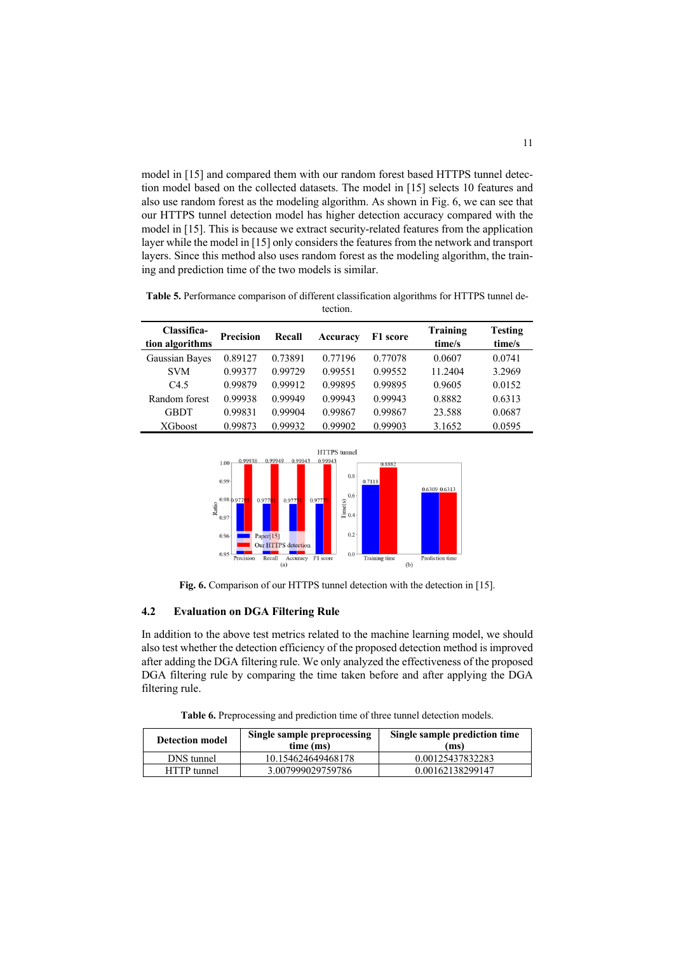model in [15] and compared them with our random forest based HTTPS tunnel detection model based on the collected datasets. The model in [15] selects 10 features and also use random forest as the modeling algorithm. As shown in Fig. 6, we can see that our HTTPS tunnel detection model has higher detection accuracy compared with the model in [15]. This is because we extract security-related features from the application layer while the model in [15] only considers the features from the network and transport layers. Since this method also uses random forest as the modeling algorithm, the training and prediction time of the two models is similar.

**Table 5.** Performance comparison of different classification algorithms for HTTPS tunnel detection.

| Classifica-<br>tion algorithms | Precision | Recall  | Accuracy | F1 score | Training<br>time/s | <b>Testing</b><br>time/s |
|--------------------------------|-----------|---------|----------|----------|--------------------|--------------------------|
| Gaussian Bayes                 | 0.89127   | 0.73891 | 0.77196  | 0.77078  | 0.0607             | 0.0741                   |
| <b>SVM</b>                     | 0.99377   | 0.99729 | 0.99551  | 0.99552  | 11.2404            | 3.2969                   |
| C4.5                           | 0.99879   | 0.99912 | 0.99895  | 0.99895  | 0.9605             | 0.0152                   |
| Random forest                  | 0.99938   | 0.99949 | 0.99943  | 0.99943  | 0.8882             | 0.6313                   |
| <b>GBDT</b>                    | 0.99831   | 0.99904 | 0.99867  | 0.99867  | 23.588             | 0.0687                   |
| <b>XGboost</b>                 | 0.99873   | 0.99932 | 0.99902  | 0.99903  | 3.1652             | 0.0595                   |



**Fig. 6.** Comparison of our HTTPS tunnel detection with the detection in [15].

## **4.2 Evaluation on DGA Filtering Rule**

In addition to the above test metrics related to the machine learning model, we should also test whether the detection efficiency of the proposed detection method is improved after adding the DGA filtering rule. We only analyzed the effectiveness of the proposed DGA filtering rule by comparing the time taken before and after applying the DGA filtering rule.

**Table 6.** Preprocessing and prediction time of three tunnel detection models.

| <b>Detection model</b> | Single sample preprocessing<br>time (ms) | Single sample prediction time<br>(ms) |  |  |
|------------------------|------------------------------------------|---------------------------------------|--|--|
| DNS tunnel             | 10.154624649468178                       | 0.00125437832283                      |  |  |
| HTTP funnel            | 3.007999029759786                        | 0.00162138299147                      |  |  |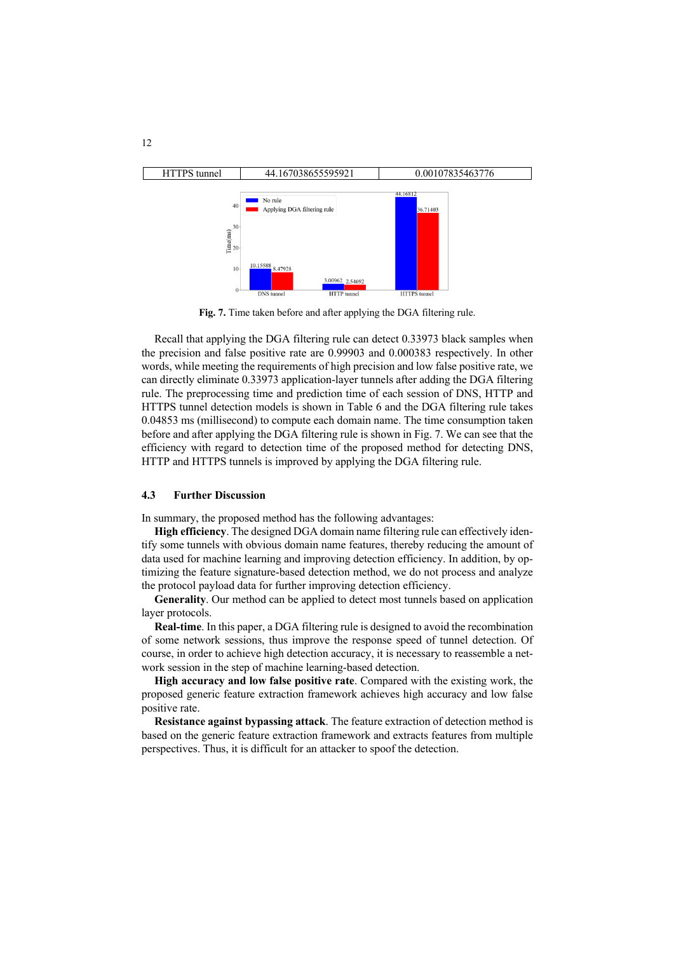

**Fig. 7.** Time taken before and after applying the DGA filtering rule.

Recall that applying the DGA filtering rule can detect 0.33973 black samples when the precision and false positive rate are 0.99903 and 0.000383 respectively. In other words, while meeting the requirements of high precision and low false positive rate, we can directly eliminate 0.33973 application-layer tunnels after adding the DGA filtering rule. The preprocessing time and prediction time of each session of DNS, HTTP and HTTPS tunnel detection models is shown in Table 6 and the DGA filtering rule takes 0.04853 ms (millisecond) to compute each domain name. The time consumption taken before and after applying the DGA filtering rule is shown in Fig. 7. We can see that the efficiency with regard to detection time of the proposed method for detecting DNS, HTTP and HTTPS tunnels is improved by applying the DGA filtering rule.

#### **4.3 Further Discussion**

In summary, the proposed method has the following advantages:

**High efficiency**. The designed DGA domain name filtering rule can effectively identify some tunnels with obvious domain name features, thereby reducing the amount of data used for machine learning and improving detection efficiency. In addition, by optimizing the feature signature-based detection method, we do not process and analyze the protocol payload data for further improving detection efficiency.

**Generality**. Our method can be applied to detect most tunnels based on application layer protocols.

**Real-time**. In this paper, a DGA filtering rule is designed to avoid the recombination of some network sessions, thus improve the response speed of tunnel detection. Of course, in order to achieve high detection accuracy, it is necessary to reassemble a network session in the step of machine learning-based detection.

**High accuracy and low false positive rate**. Compared with the existing work, the proposed generic feature extraction framework achieves high accuracy and low false positive rate.

**Resistance against bypassing attack**. The feature extraction of detection method is based on the generic feature extraction framework and extracts features from multiple perspectives. Thus, it is difficult for an attacker to spoof the detection.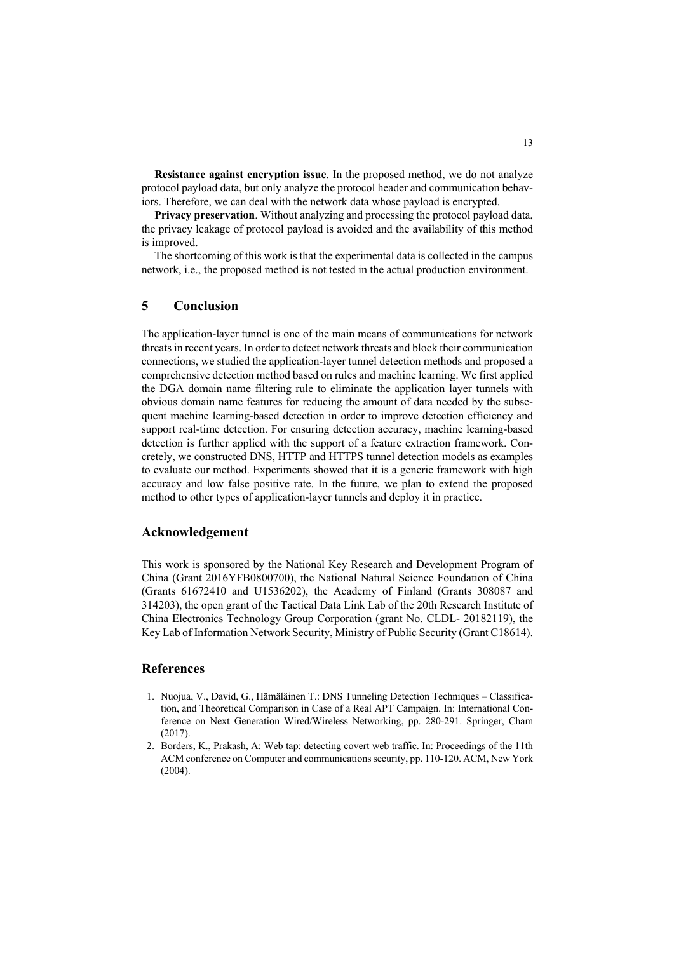**Resistance against encryption issue**. In the proposed method, we do not analyze protocol payload data, but only analyze the protocol header and communication behaviors. Therefore, we can deal with the network data whose payload is encrypted.

**Privacy preservation**. Without analyzing and processing the protocol payload data, the privacy leakage of protocol payload is avoided and the availability of this method is improved.

The shortcoming of this work is that the experimental data is collected in the campus network, i.e., the proposed method is not tested in the actual production environment.

# **5 Conclusion**

The application-layer tunnel is one of the main means of communications for network threats in recent years. In order to detect network threats and block their communication connections, we studied the application-layer tunnel detection methods and proposed a comprehensive detection method based on rules and machine learning. We first applied the DGA domain name filtering rule to eliminate the application layer tunnels with obvious domain name features for reducing the amount of data needed by the subsequent machine learning-based detection in order to improve detection efficiency and support real-time detection. For ensuring detection accuracy, machine learning-based detection is further applied with the support of a feature extraction framework. Concretely, we constructed DNS, HTTP and HTTPS tunnel detection models as examples to evaluate our method. Experiments showed that it is a generic framework with high accuracy and low false positive rate. In the future, we plan to extend the proposed method to other types of application-layer tunnels and deploy it in practice.

#### **Acknowledgement**

This work is sponsored by the National Key Research and Development Program of China (Grant 2016YFB0800700), the National Natural Science Foundation of China (Grants 61672410 and U1536202), the Academy of Finland (Grants 308087 and 314203), the open grant of the Tactical Data Link Lab of the 20th Research Institute of China Electronics Technology Group Corporation (grant No. CLDL- 20182119), the Key Lab of Information Network Security, Ministry of Public Security (Grant C18614).

### **References**

- 1. Nuojua, V., David, G., Hämäläinen T.: DNS Tunneling Detection Techniques Classification, and Theoretical Comparison in Case of a Real APT Campaign. In: International Conference on Next Generation Wired/Wireless Networking, pp. 280-291. Springer, Cham (2017).
- 2. Borders, K., Prakash, A: Web tap: detecting covert web traffic. In: Proceedings of the 11th ACM conference on Computer and communications security, pp. 110-120. ACM, New York (2004).